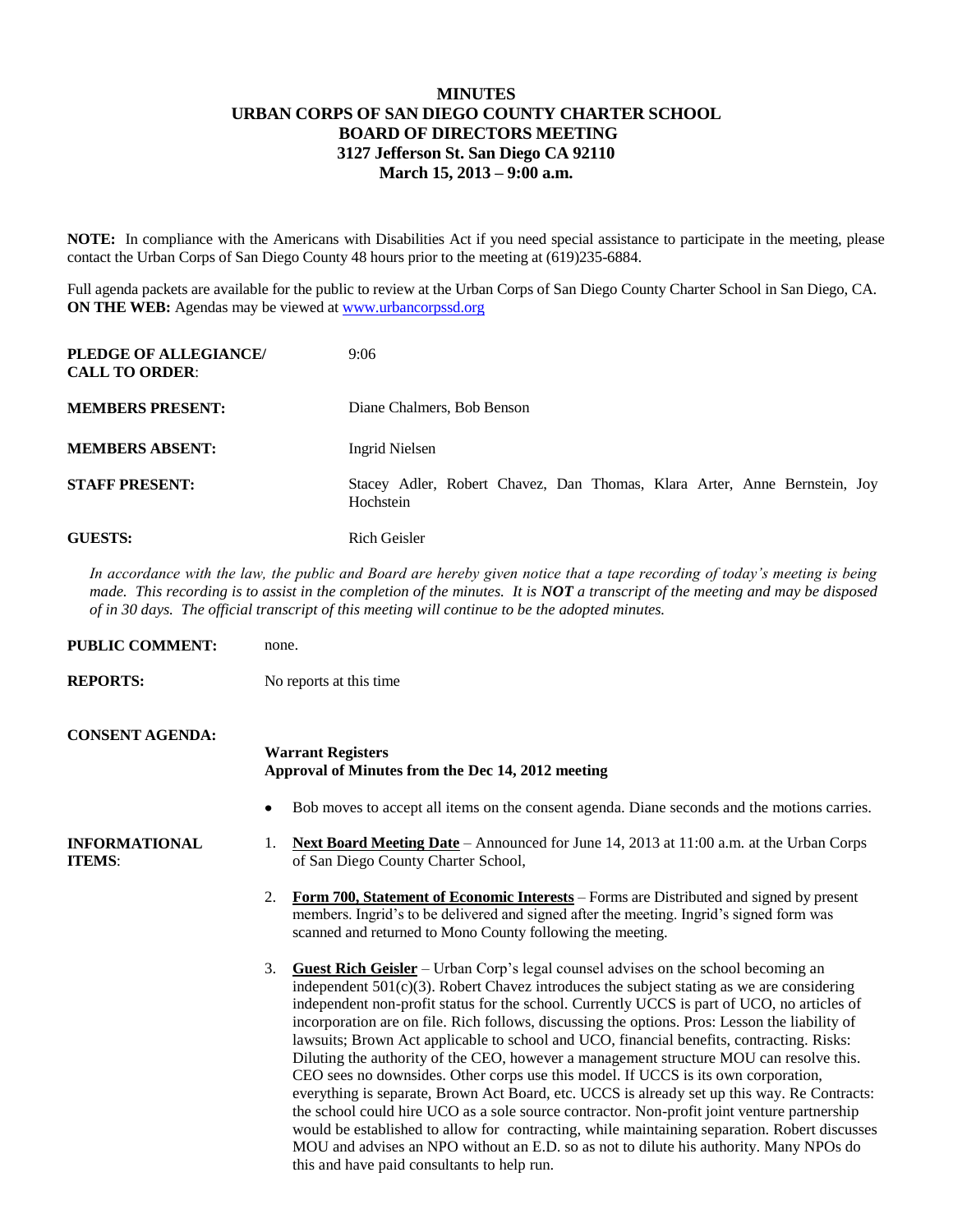## **MINUTES URBAN CORPS OF SAN DIEGO COUNTY CHARTER SCHOOL BOARD OF DIRECTORS MEETING 3127 Jefferson St. San Diego CA 92110 March 15, 2013 – 9:00 a.m.**

**NOTE:** In compliance with the Americans with Disabilities Act if you need special assistance to participate in the meeting, please contact the Urban Corps of San Diego County 48 hours prior to the meeting at (619)235-6884.

Full agenda packets are available for the public to review at the Urban Corps of San Diego County Charter School in San Diego, CA. **ON THE WEB:** Agendas may be viewed at [www.urbancorpssd.org](http://www.urbancorpssd.org/)

| PLEDGE OF ALLEGIANCE/<br><b>CALL TO ORDER:</b> | 9:06                                                                                   |
|------------------------------------------------|----------------------------------------------------------------------------------------|
| <b>MEMBERS PRESENT:</b>                        | Diane Chalmers, Bob Benson                                                             |
| <b>MEMBERS ABSENT:</b>                         | Ingrid Nielsen                                                                         |
| <b>STAFF PRESENT:</b>                          | Stacey Adler, Robert Chavez, Dan Thomas, Klara Arter, Anne Bernstein, Joy<br>Hochstein |
| <b>GUESTS:</b>                                 | Rich Geisler                                                                           |

*In accordance with the law, the public and Board are hereby given notice that a tape recording of today's meeting is being made. This recording is to assist in the completion of the minutes. It is NOT a transcript of the meeting and may be disposed of in 30 days. The official transcript of this meeting will continue to be the adopted minutes.*

| <b>PUBLIC COMMENT:</b>                | none.                                                                                                                                                                                                                                                                                                                                                                                                                                                                                                                                                                                                                                                                                                                                                                                                                                                                                                                                                                                                                                                                                                                  |  |
|---------------------------------------|------------------------------------------------------------------------------------------------------------------------------------------------------------------------------------------------------------------------------------------------------------------------------------------------------------------------------------------------------------------------------------------------------------------------------------------------------------------------------------------------------------------------------------------------------------------------------------------------------------------------------------------------------------------------------------------------------------------------------------------------------------------------------------------------------------------------------------------------------------------------------------------------------------------------------------------------------------------------------------------------------------------------------------------------------------------------------------------------------------------------|--|
| <b>REPORTS:</b>                       | No reports at this time                                                                                                                                                                                                                                                                                                                                                                                                                                                                                                                                                                                                                                                                                                                                                                                                                                                                                                                                                                                                                                                                                                |  |
| <b>CONSENT AGENDA:</b>                | <b>Warrant Registers</b><br>Approval of Minutes from the Dec 14, 2012 meeting                                                                                                                                                                                                                                                                                                                                                                                                                                                                                                                                                                                                                                                                                                                                                                                                                                                                                                                                                                                                                                          |  |
|                                       | Bob moves to accept all items on the consent agenda. Diane seconds and the motions carries.<br>$\bullet$                                                                                                                                                                                                                                                                                                                                                                                                                                                                                                                                                                                                                                                                                                                                                                                                                                                                                                                                                                                                               |  |
| <b>INFORMATIONAL</b><br><b>ITEMS:</b> | <b>Next Board Meeting Date</b> – Announced for June 14, 2013 at 11:00 a.m. at the Urban Corps<br>1.<br>of San Diego County Charter School,                                                                                                                                                                                                                                                                                                                                                                                                                                                                                                                                                                                                                                                                                                                                                                                                                                                                                                                                                                             |  |
|                                       | Form 700, Statement of Economic Interests – Forms are Distributed and signed by present<br>2.<br>members. Ingrid's to be delivered and signed after the meeting. Ingrid's signed form was<br>scanned and returned to Mono County following the meeting.                                                                                                                                                                                                                                                                                                                                                                                                                                                                                                                                                                                                                                                                                                                                                                                                                                                                |  |
|                                       | 3.<br><b>Guest Rich Geisler</b> – Urban Corp's legal counsel advises on the school becoming an<br>independent $501(c)(3)$ . Robert Chavez introduces the subject stating as we are considering<br>independent non-profit status for the school. Currently UCCS is part of UCO, no articles of<br>incorporation are on file. Rich follows, discussing the options. Pros: Lesson the liability of<br>lawsuits; Brown Act applicable to school and UCO, financial benefits, contracting. Risks:<br>Diluting the authority of the CEO, however a management structure MOU can resolve this.<br>CEO sees no downsides. Other corps use this model. If UCCS is its own corporation,<br>everything is separate, Brown Act Board, etc. UCCS is already set up this way. Re Contracts:<br>the school could hire UCO as a sole source contractor. Non-profit joint venture partnership<br>would be established to allow for contracting, while maintaining separation. Robert discusses<br>MOU and advises an NPO without an E.D. so as not to dilute his authority. Many NPOs do<br>this and have paid consultants to help run. |  |